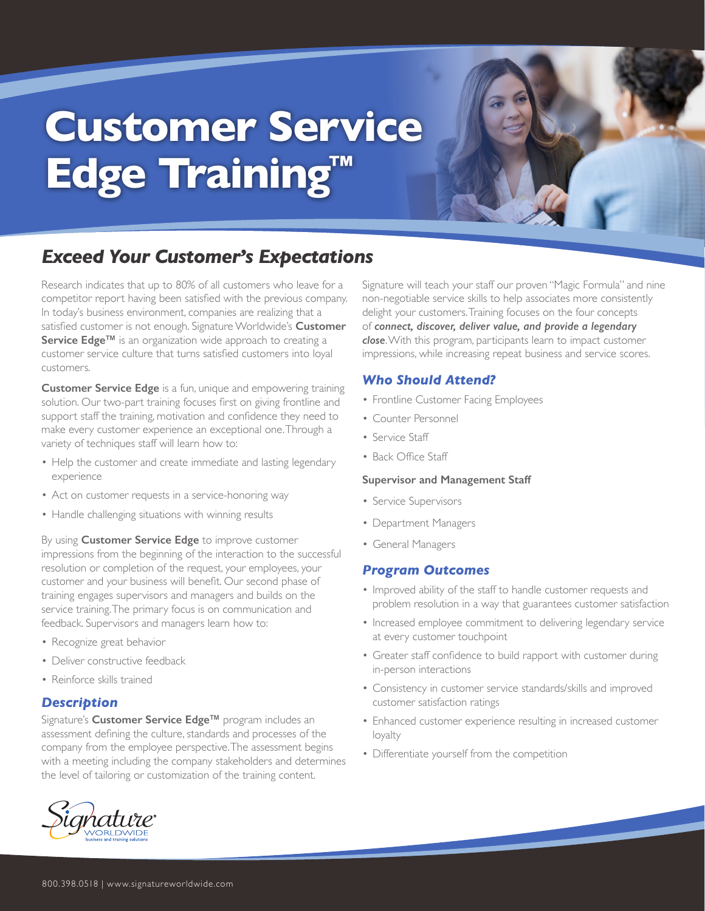# **Customer Service Edge Training™**

## *Exceed Your Customer's Expectations*

Research indicates that up to 80% of all customers who leave for a competitor report having been satisfied with the previous company. In today's business environment, companies are realizing that a satisfied customer is not enough. Signature Worldwide's **Customer Service Edge™** is an organization wide approach to creating a customer service culture that turns satisfied customers into loyal customers.

**Customer Service Edge** is a fun, unique and empowering training solution. Our two-part training focuses first on giving frontline and support staff the training, motivation and confidence they need to make every customer experience an exceptional one. Through a variety of techniques staff will learn how to:

- Help the customer and create immediate and lasting legendary experience
- Act on customer requests in a service-honoring way
- Handle challenging situations with winning results

By using **Customer Service Edge** to improve customer impressions from the beginning of the interaction to the successful resolution or completion of the request, your employees, your customer and your business will benefit. Our second phase of training engages supervisors and managers and builds on the service training. The primary focus is on communication and feedback. Supervisors and managers learn how to:

- Recognize great behavior
- Deliver constructive feedback
- Reinforce skills trained

### *Description*

Signature's **Customer Service Edge™** program includes an assessment defining the culture, standards and processes of the company from the employee perspective. The assessment begins with a meeting including the company stakeholders and determines the level of tailoring or customization of the training content.



Signature will teach your staff our proven "Magic Formula" and nine non-negotiable service skills to help associates more consistently delight your customers. Training focuses on the four concepts of *connect, discover, deliver value, and provide a legendary close*. With this program, participants learn to impact customer impressions, while increasing repeat business and service scores.

### *Who Should Attend?*

- Frontline Customer Facing Employees
- Counter Personnel
- Service Staff
- Back Office Staff

#### **Supervisor and Management Staff**

- Service Supervisors
- Department Managers
- General Managers

### *Program Outcomes*

- Improved ability of the staff to handle customer requests and problem resolution in a way that guarantees customer satisfaction
- Increased employee commitment to delivering legendary service at every customer touchpoint
- Greater staff confidence to build rapport with customer during in-person interactions
- Consistency in customer service standards/skills and improved customer satisfaction ratings
- Enhanced customer experience resulting in increased customer loyalty
- Differentiate yourself from the competition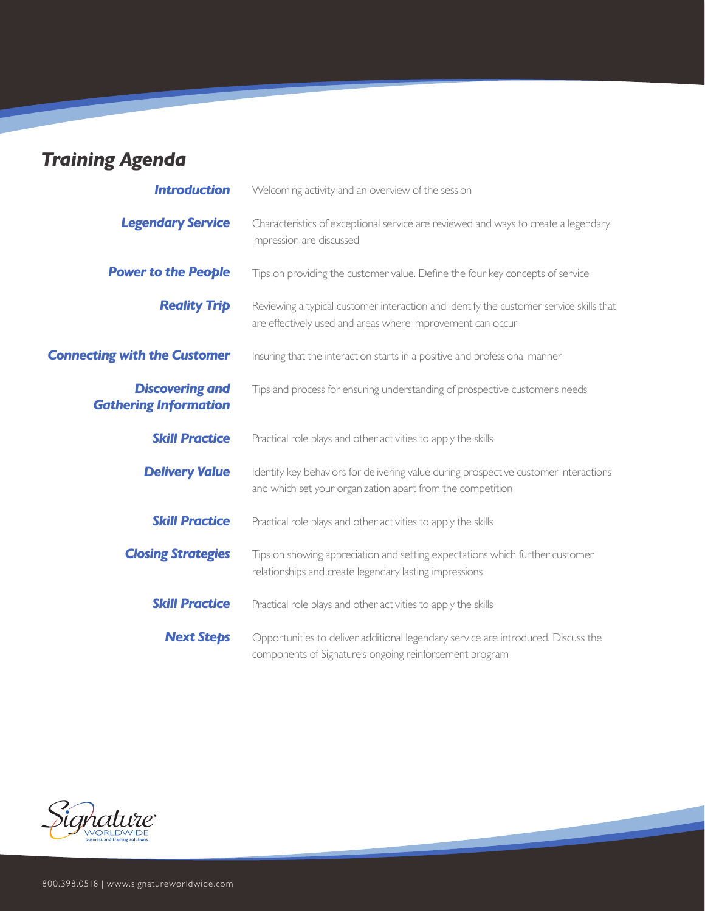# *Training Agenda*

| <b>Introduction</b>                                    | Welcoming activity and an overview of the session                                                                                                    |
|--------------------------------------------------------|------------------------------------------------------------------------------------------------------------------------------------------------------|
| <b>Legendary Service</b>                               | Characteristics of exceptional service are reviewed and ways to create a legendary<br>impression are discussed                                       |
| <b>Power to the People</b>                             | Tips on providing the customer value. Define the four key concepts of service                                                                        |
| <b>Reality Trip</b>                                    | Reviewing a typical customer interaction and identify the customer service skills that<br>are effectively used and areas where improvement can occur |
| <b>Connecting with the Customer</b>                    | Insuring that the interaction starts in a positive and professional manner                                                                           |
| <b>Discovering and</b><br><b>Gathering Information</b> | Tips and process for ensuring understanding of prospective customer's needs                                                                          |
| <b>Skill Practice</b>                                  | Practical role plays and other activities to apply the skills                                                                                        |
| <b>Delivery Value</b>                                  | Identify key behaviors for delivering value during prospective customer interactions<br>and which set your organization apart from the competition   |
| <b>Skill Practice</b>                                  | Practical role plays and other activities to apply the skills                                                                                        |
| <b>Closing Strategies</b>                              | Tips on showing appreciation and setting expectations which further customer<br>relationships and create legendary lasting impressions               |
| <b>Skill Practice</b>                                  | Practical role plays and other activities to apply the skills                                                                                        |
| <b>Next Steps</b>                                      | Opportunities to deliver additional legendary service are introduced. Discuss the<br>components of Signature's ongoing reinforcement program         |

<u> a shekara t</u>